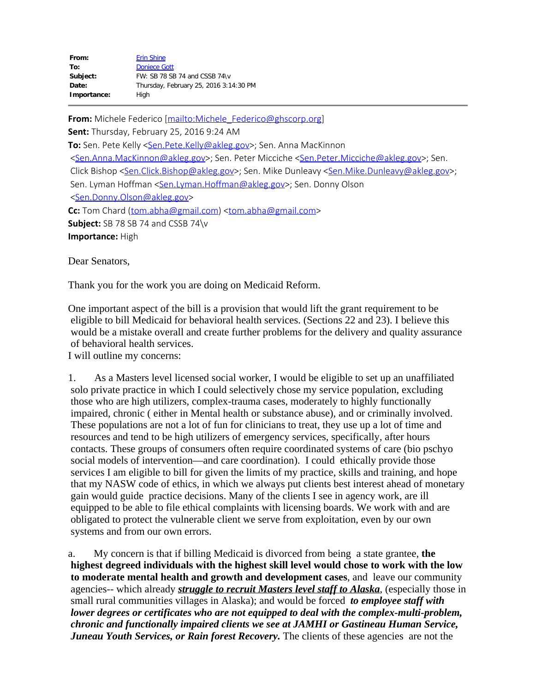| <b>Erin Shine</b>                      |
|----------------------------------------|
| <b>Doniece Gott</b>                    |
| FW: SB 78 SB 74 and CSSB 74\v          |
| Thursday, February 25, 2016 3:14:30 PM |
| High                                   |
|                                        |

**From:** Michele Federico [\[mailto:Michele\\_Federico@ghscorp.org](mailto:Michele_Federico@ghscorp.org)] **Sent:** Thursday, February 25, 2016 9:24 AM To: Sen. Pete Kelly <Sen. Pete. Kelly@akleg.gov>; Sen. Anna MacKinnon [<Sen.Anna.MacKinnon@akleg.gov](mailto:Sen.Anna.MacKinnon@akleg.gov)>; Sen. Peter Micciche [<Sen.Peter.Micciche@akleg.gov](mailto:Sen.Peter.Micciche@akleg.gov)>; Sen. Click Bishop [<Sen.Click.Bishop@akleg.gov](mailto:Sen.Click.Bishop@akleg.gov)>; Sen. Mike Dunleavy <[Sen.Mike.Dunleavy@akleg.gov](mailto:Sen.Mike.Dunleavy@akleg.gov)>; Sen. Lyman Hoffman [<Sen.Lyman.Hoffman@akleg.gov](mailto:Sen.Lyman.Hoffman@akleg.gov)>; Sen. Donny Olson [<Sen.Donny.Olson@akleg.gov](mailto:Sen.Donny.Olson@akleg.gov)> **Cc:** Tom Chard [\(tom.abha@gmail.com](mailto:tom.abha@gmail.com)) [<tom.abha@gmail.com](mailto:tom.abha@gmail.com)> **Subject:** SB 78 SB 74 and CSSB 74\v **Importance:** High

Dear Senators,

Thank you for the work you are doing on Medicaid Reform.

One important aspect of the bill is a provision that would lift the grant requirement to be eligible to bill Medicaid for behavioral health services. (Sections 22 and 23). I believe this would be a mistake overall and create further problems for the delivery and quality assurance of behavioral health services.

I will outline my concerns:

1. As a Masters level licensed social worker, I would be eligible to set up an unaffiliated solo private practice in which I could selectively chose my service population, excluding those who are high utilizers, complex-trauma cases, moderately to highly functionally impaired, chronic ( either in Mental health or substance abuse), and or criminally involved. These populations are not a lot of fun for clinicians to treat, they use up a lot of time and resources and tend to be high utilizers of emergency services, specifically, after hours contacts. These groups of consumers often require coordinated systems of care (bio pschyo social models of intervention—and care coordination). I could ethically provide those services I am eligible to bill for given the limits of my practice, skills and training, and hope that my NASW code of ethics, in which we always put clients best interest ahead of monetary gain would guide practice decisions. Many of the clients I see in agency work, are ill equipped to be able to file ethical complaints with licensing boards. We work with and are obligated to protect the vulnerable client we serve from exploitation, even by our own systems and from our own errors.

a. My concern is that if billing Medicaid is divorced from being a state grantee, **the highest degreed individuals with the highest skill level would chose to work with the low to moderate mental health and growth and development cases**, and leave our community agencies-- which already *struggle to recruit Masters level staff to Alaska*, (especially those in small rural communities villages in Alaska); and would be forced *to employee staff with lower degrees or certificates who are not equipped to deal with the complex-multi-problem, chronic and functionally impaired clients we see at JAMHI or Gastineau Human Service, Juneau Youth Services, or Rain forest Recovery.* The clients of these agencies are not the